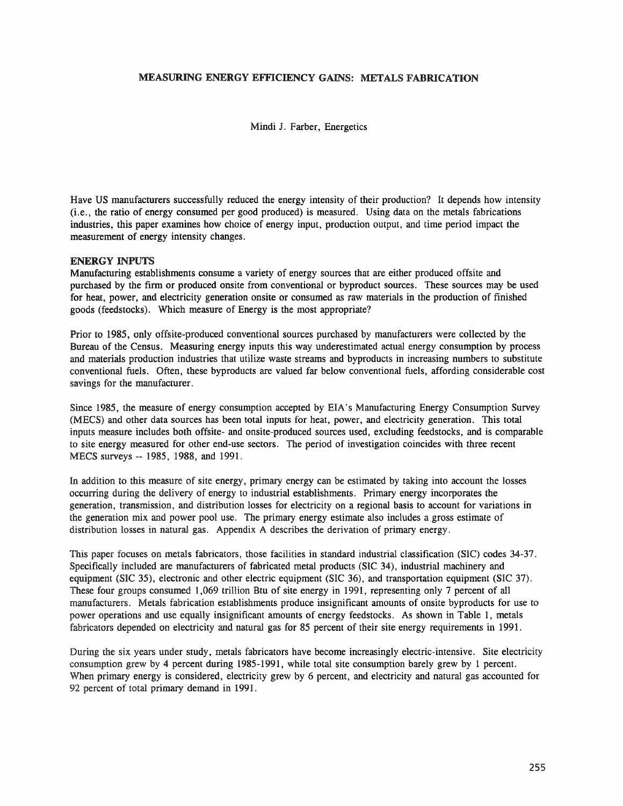# MEASURING ENERGY EFFICIENCY GAINS: METALS FABRICATION

Mindi J. Farber, Energetics

Have US manufacturers successfully reduced the energy intensity of their production? It depends how intensity (Le., the ratio of energy consumed per good produced) is measured. Using data on the metals fabrications industries, this paper examines how choice of energy input, production output, and time period impact the measurement of energy intensity changes.

### ENERGY INPUTS

Manufacturing establishments consume a variety of energy sources that are either produced offsite and purchased by the firm or produced onsite from conventional or byproduct sources. These sources may be used for heat, power, and electricity generation onsite or consumed as raw materials in the production of finished goods (feedstocks).. Which measure of Energy is the most appropriate?

Prior to 1985, only offsite-produced conventional sources purchased by manufacturers were collected by the Bureau of the Census. Measuring energy inputs this way underestimated actual energy consumption by process and materials production industries that utilize waste streams and byproducts in increasing numbers to substitute conventional fuels. Often, these byproducts are valued far below conventional fuels, affording considerable cost savings for the manufacturer.

Since 1985, the measure of energy consumption accepted by EIA's Manufacturing Energy Consumption Survey (MECS) and other data sources has been total inputs for heat, power, and electricity generation. This total inputs measure includes both offsite- and onsite-produced sources used, excluding feedstocks, and is comparable to site energy measured for other end-use sectors. The period of investigation coincides with three recent MECS surveys -- 1985, 1988, and 1991.

In addition to this measure of site energy, primary energy can be estimated by taking into account the losses occurring during the delivery of energy to industrial establishments. Primary energy incorporates the generation, transmission, and distribution losses for electricity on a regional basis to account for variations in the generation mix and power pool use. The primary energy estimate also includes a gross estimate of distribution losses in natural gas. Appendix A describes the derivation of primary energy.

This paper focuses on metals fabricators, those facilities in standard industrial classification (SIC) codes 34-37. Specifically included are manufacturers of fabricated metal products (SIC 34), industrial machinery and equipment (SIC 35), electronic and other electric equipment (SIC 36), and transportation equipment (SIC 37). These four groups consumed 1,069 trillion Btu of site energy in 1991, representing only 7 percent of all manufacturers. Metals fabrication establishments produce insignificant amounts of onsite byproducts for use to power operations and use equally insignificant amounts of energy feedstocks. As shown in Table 1, metals fabricators depended on electricity and natural gas for 85 percent of their site energy requirements in 1991.

During the six years under study, metals fabricators have become increasingly electric-intensive. Site electricity consumption grew by 4 percent during 1985-1991, while total site consumption barely grew by 1 percent. When primary energy is considered, electricity grew by 6 percent, and electricity and natural gas accounted for 92 percent of total primary demand in 1991.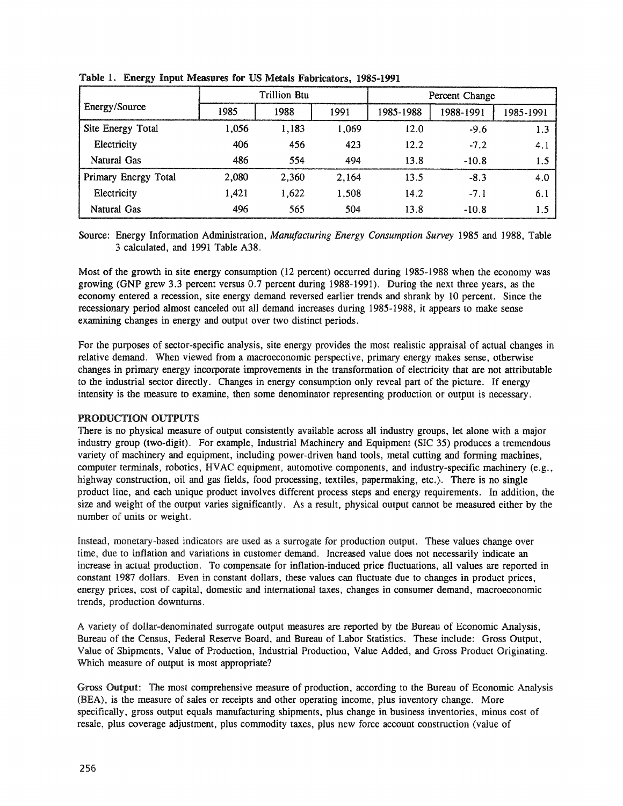|                      |       | <b>Trillion Btu</b> |       | Percent Change |           |           |  |
|----------------------|-------|---------------------|-------|----------------|-----------|-----------|--|
| Energy/Source        | 1985  | 1988                | 1991  | 1985-1988      | 1988-1991 | 1985-1991 |  |
| Site Energy Total    | 1,056 | 1,183               | 1,069 | 12.0           | $-9.6$    | 1.3       |  |
| Electricity          | 406   | 456                 | 423   | 12.2           | $-7.2$    | 4.1       |  |
| Natural Gas          | 486   | 554                 | 494   | 13.8           | $-10.8$   | 1.5       |  |
| Primary Energy Total | 2,080 | 2.360               | 2,164 | 13.5           | $-8.3$    | 4.0       |  |
| Electricity          | 1,421 | 1,622               | 1,508 | 14.2           | $-7.1$    | 6.1       |  |
| Natural Gas          | 496   | 565                 | 504   | 13.8           | $-10.8$   | 1.5       |  |

Table I. Energy Input Measures for US Metals Fabricators, 1985-1991

Source: Energy Information Administration, *Manufacturing Energy Consumption Survey* 1985 and 1988, Table 3 calculated, and 1991 Table A38.

Most of the growth in site energy consumption (12 percent) occurred during 1985-1988 when the economy was growing (GNP grew 3.3 percent versus 0.7 percent during 1988-1991). During the next three years, as the economy entered a recession, site energy demand reversed earlier trends and shrank by 10 percent. Since the recessionary period almost canceled out all demand increases during 1985-1988, it appears to make sense examining changes in energy and output over two distinct periods.

For the purposes of sector-specific analysis, site energy provides the most realistic appraisal of actual changes in relative demand. When viewed from a macroeconomic perspective, primary energy makes sense, otherwise changes in primary energy incorporate improvements in the transformation of electricity that are not attributable to the industrial sector directly. Changes in energy consumption only reveal part of the picture. If energy intensity is the measure to examine, then some denominator representing production or output is necessary.

# PRODUCTION OUTPUTS

There is no physical measure of output consistently available across all industry groups, let alone with a major industry group (two-digit). For example, Industrial Machinery and Equipment (SIC 35) produces a tremendous variety of machinery and equipment, including power-driven hand tools, metal cutting and forming machines, computer terminals, robotics, HVAC equipment, automotive components, and industry-specific machinery (e.g., highway construction, oil and gas fields, food processing, textiles, papermaking, etc.). There is no single product line, and each unique product involves different process steps and energy requirements. In addition, the size and weight of the output varies significantly. As a result, physical output cannot be measured either by the number of units or weight.

Instead, monetary-based indicators are used as a surrogate for production output. These values change over time, due to inflation and variations in customer demand. Increased value does not necessarily indicate an increase in actual production. To compensate for inflation-induced price fluctuations, all values are reported in constant 1987 dollars. Even in constant dollars, these values can fluctuate due to changes in product prices, energy prices, cost of capital, domestic and international taxes, changes in consumer demand, macroeconomic trends, production downturns.

A variety of dollar-denominated surrogate output measures are reported by the Bureau of Economic Analysis, Bureau of the Census, Federal Reserve Board, and Bureau of Labor Statistics. These include: Gross Output, Value of Shipments, Value of Production, Industrial Production, Value Added, and Gross Product Originating. Which measure of output is most appropriate?

Gross Output: The most comprehensive measure of production, according to the Bureau of Economic Analysis (BEA), is the measure of sales or receipts and other operating income, plus inventory change. More specifically, gross output equals manufacturing shipments, plus change in business inventories, minus cost of resale, plus coverage adjustment, plus commodity taxes, plus new force account construction (value of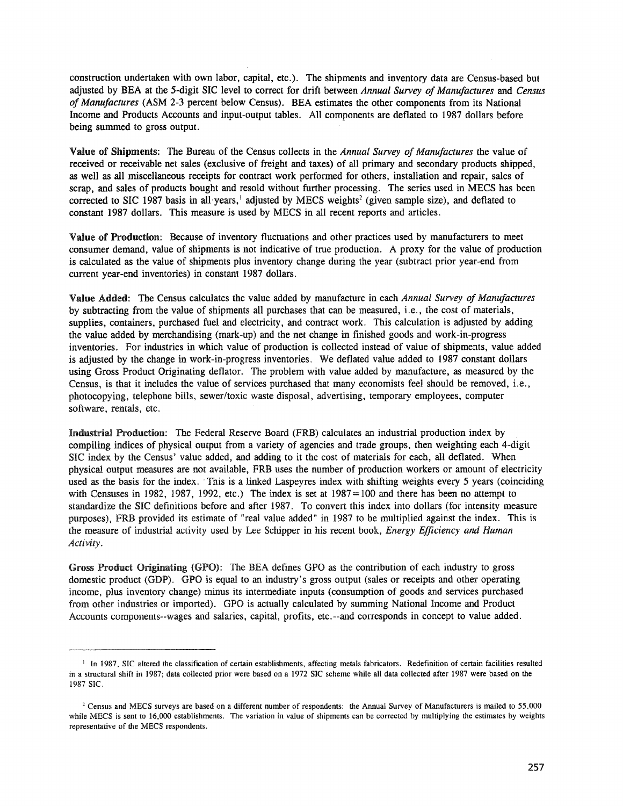construction undertaken with own labor, capital, etc.). The shipments and inventory data are Census-based but adjusted by BEA at the 5-digit SIC level to correct for drift between *Annual Survey of Manufactures* and *Census of Manufactures* (ASM 2-3 percent below Census). BEA estimates the other components from its National Income and Products Accounts and input-output tables. All components are deflated to 1987 dollars before being summed to gross output.

Value of Shipments: The Bureau of the Census collects in the *Annual Survey of Manufactures* the value of received or receivable net sales (exclusive of freight and taxes) of all primary and secondary products shipped, as well as all miscellaneous receipts for contract work performed for others, installation and repair, sales of scrap, and sales of products bought and resold without further processing. The series used in MECS has been corrected to SIC 1987 basis in all-years,  $\frac{1}{2}$  adjusted by MECS weights<sup>2</sup> (given sample size), and deflated to constant 1987 dollars. This measure is used by MECS in all recent reports and articles.

Value of Production: Because of inventory fluctuations and other practices used by manufacturers to meet consumer demand, value of shipments is not indicative of true production. A proxy for the value of production is calculated as the value of shipments plus inventory change during the year (subtract prior year-end from current year-end inventories) in constant 1987 dollars.

Value Added: The Census calculates the value added by manufacture in each *Annual Survey of Manufactures* by subtracting from the value of shipments all purchases that can be measured, i.e., the cost of materials, supplies, containers, purchased fuel and electricity, and contract work. This calculation is adjusted by adding the value added by merchandising (mark-up) and the net change in finished goods and work-in-progress inventories. For industries in which value of production is collected instead of value of shipments, value added is adjusted by the change in work-in-progress inventories. We deflated value added to 1987 constant dollars using Gross Product Originating deflator. The problem with value added by manufacture, as measured by the Census, is that it includes the value of services purchased that many economists feel should be removed, i.e., photocopying, telephone bills, sewer/toxic waste disposal, advertising, temporary employees, computer software, rentals, etc.

Industrial Production: The Federal Reserve Board (FRB) calculates an industrial production index by compiling indices of physical output from a variety of agencies and trade groups, then weighting each 4-digit SIC index by the Census' value added, and adding to it the cost of materials for each, all deflated. When physical output measures are not available, FRB uses the number of production workers or amount of electricity used as the basis for the index. This is a linked Laspeyres index with shifting weights every 5 years (coinciding with Censuses in 1982, 1987, 1992, etc.) The index is set at 1987=100 and there has been no attempt to standardize the SIC definitions before and after 1987. To convert this index into dollars (for intensity measure purposes), FRB provided its estimate of "real value added" in 1987 to be multiplied against the index. This is the measure of industrial activity used by Lee Schipper in his recent book, *Energy Efficiency and Human Activity.*

Gross Product Originating (GPO): The BEA defines GPO as the contribution of each industry to gross domestic product (GDP). GPO is equal to an industry's gross output (sales or receipts and other operating income, plus inventory change) minus its intermediate inputs (consumption of goods and services purchased from other industries or imported). GPO is actually calculated by summing National Income and Product Accounts components--wages and salaries, capital, profits, etc.--and corresponds in concept to value added.

<sup>&</sup>lt;sup>1</sup> In 1987, SIC altered the classification of certain establishments, affecting metals fabricators. Redefinition of certain facilities resulted in a structural shift in 1987; data collected prior were based on a 1972 SIC scheme while all data collected after 1987 were based on the 1987 SIC.

<sup>&</sup>lt;sup>2</sup> Census and MECS surveys are based on a different number of respondents: the Annual Survey of Manufacturers is mailed to 55,000 while MECS is sent to 16,000 establishments. The variation in value of shipments can be corrected by multiplying the estimates by weights representative of the MECS respondents.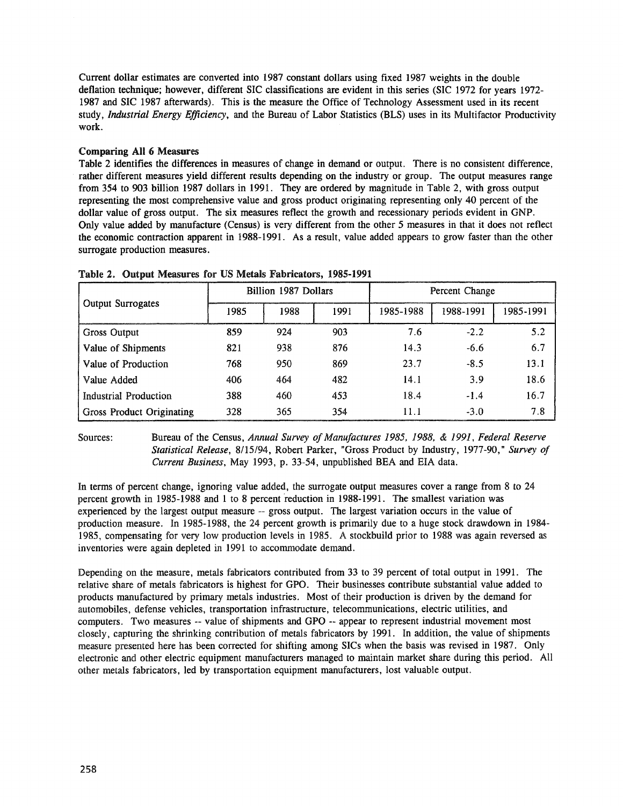Current dollar estimates are converted into 1987 constant dollars using fixed 1987 weights in the double deflation technique; however, different SIC classifications are evident in this series (SIC 1972 for years 1972- 1987 and SIC 1987 afterwards). This is the measure the Office of Technology Assessment used in its recent study, *Industrial Energy Efficiency,* and the Bureau of Labor Statistics (BLS) uses in its Multifactor Productivity work.

# Comparing All 6 Measures

Table 2 identifies the differences in measures of change in demand or output. There is no consistent difference, rather different measures yield different results depending on the industry or group. The output measures range from 354 to 903 billion 1987 dollars in 1991. They are ordered by magnitude in Table 2, with gross output representing the most comprehensive value and gross product originating representing only 40 percent of the dollar value of gross output. The six measures reflect the growth and recessionary periods evident in GNP. Only value added by manufacture (Census) is very different from the other 5 measures in that it does not reflect the economic contraction apparent in 1988-1991. As a result, value added appears to grow faster than the other surrogate production measures.

| <b>Output Surrogates</b>  |      | Billion 1987 Dollars |      | Percent Change |           |           |  |  |
|---------------------------|------|----------------------|------|----------------|-----------|-----------|--|--|
|                           | 1985 | 1988                 | 1991 | 1985-1988      | 1988-1991 | 1985-1991 |  |  |
| Gross Output              | 859  | 924                  | 903  | 7.6            | $-2.2$    | 5.2       |  |  |
| Value of Shipments        | 821  | 938                  | 876  | 14.3           | $-6.6$    | 6.7       |  |  |
| Value of Production       | 768  | 950                  | 869  | 23.7           | $-8.5$    | 13.1      |  |  |
| Value Added               | 406  | 464                  | 482  | 14.1           | 3.9       | 18.6      |  |  |
| Industrial Production     | 388  | 460                  | 453  | 18.4           | $-1.4$    | 16.7      |  |  |
| Gross Product Originating | 328  | 365                  | 354  | 11.1           | $-3.0$    | 7.8       |  |  |

Table 2. Output Measures for US Metals Fabricators, 1985-1991

Sources: Bureau of the Census, *Annual Survey of Manufactures* 1985, 1988, & 1991, *Federal Reserve Statistical Release,* 8/15/94, Robert Parker, "Gross Product by Industry, 1977-90," *Survey of Current Business,* May 1993, p. 33-54, unpublished BEA and EIA data.

In terms of percent change, ignoring value added, the surrogate output measures cover a range from 8 to 24 percent growth in 1985-1988 and 1 to 8 percent reduction in 1988-1991. The smallest variation was experienced by the largest output measure -- gross output. The largest variation occurs in the value of production measure. In 1985-1988, the 24 percent growth is primarily due to a huge stock drawdown in 1984- 1985, compensating for very low production levels in 1985. A stockbuild prior to 1988 was again reversed as inventories were again depleted in 1991 to accommodate demand.

Depending on the measure, metals fabricators contributed from 33 to 39 percent of total output in 1991. The relative share of metals fabricators is highest for GPO. Their businesses contribute substantial value added to products manufactured by primary metals industries. Most of their production is driven by the demand for automobiles, defense vehicles, transportation infrastructure, telecommunications, electric utilities, and computers. Two measures -- value of shipments and GPO -- appear to represent industrial movement most closely, capturing the shrinking contribution of metals fabricators by 1991. In addition, the value of shipments measure presented here has been corrected for shifting among SICs when the basis was revised in 1987. Only electronic and other electric equipment manufacturers managed to maintain market share during this period. All other metals fabricators, led by transportation equipment manufacturers, lost valuable output.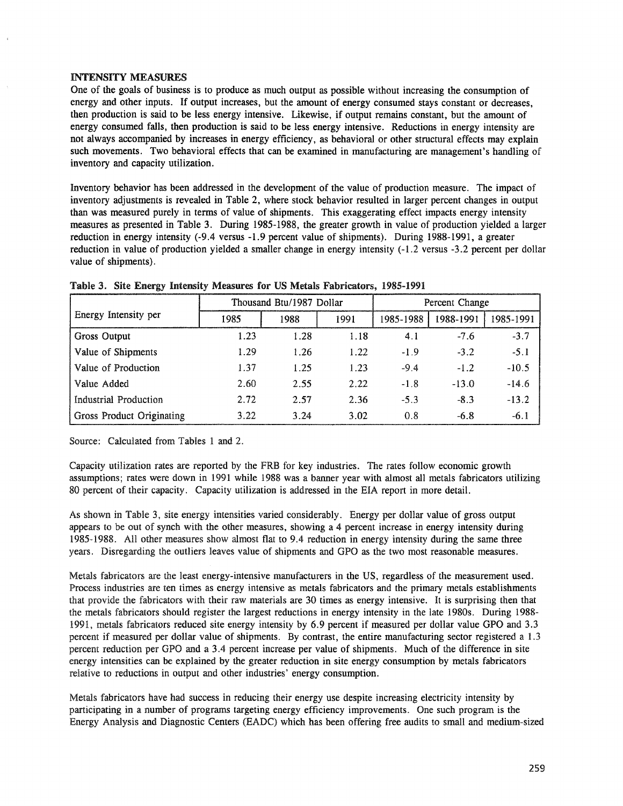### INTENSITY MEASURES

One of the goals of business is to produce as much output as possible without increasing the consumption of energy and other inputs. If output increases, but the amount of energy consumed stays constant or decreases, then production is said to be less energy intensive. Likewise, if output remains constant, but the amount of energy consumed falls, then production is said to be less energy intensive. Reductions in energy intensity are not always accompanied by increases in energy efficiency, as behavioral or other structural effects may explain such movements. Two behavioral effects that can be examined in manufacturing are management's handling of inventory and capacity utilization.

Inventory behavior has been addressed in the development of the value of production measure. The impact of inventory adjustments is revealed in Table 2, where stock behavior resulted in larger percent changes in output than was measured purely in terms of value of shipments. This exaggerating effect impacts energy intensity measures as presented in Table 3. During 1985-1988, the greater growth in value of production yielded a larger reduction in energy intensity (-9.4 versus -1.9 percent value of shipments). During 1988-1991, a greater reduction in value of production yielded a smaller change in energy intensity (-1.2 versus -3.2 percent per dollar value of shipments).

|                           |      | Thousand Btu/1987 Dollar |      | Percent Change |           |           |  |
|---------------------------|------|--------------------------|------|----------------|-----------|-----------|--|
| Energy Intensity per      | 1985 | 1988                     | 1991 | 1985-1988      | 1988-1991 | 1985-1991 |  |
| Gross Output              | 1.23 | 1.28                     | 1.18 | 4.1            | $-7.6$    | $-3.7$    |  |
| Value of Shipments        | 1.29 | 1.26                     | 1.22 | $-1.9$         | $-3.2$    | $-5.1$    |  |
| Value of Production       | 1.37 | 1.25                     | 1.23 | $-9.4$         | $-1.2$    | $-10.5$   |  |
| Value Added               | 2.60 | 2.55                     | 2.22 | $-1.8$         | $-13.0$   | $-14.6$   |  |
| Industrial Production     | 2.72 | 2.57                     | 2.36 | $-5.3$         | $-8.3$    | $-13.2$   |  |
| Gross Product Originating | 3.22 | 3.24                     | 3.02 | 0.8            | $-6.8$    | $-6.1$    |  |

Table 3. Site Energy Intensity Measures for US Metals Fabricators, 1985-1991

Source: Calculated from Tables 1 and 2.

Capacity utilization rates are reported by the FRB for key industries. The rates follow economic growth assumptions; rates were down in 1991 while 1988 was a banner year with almost all metals fabricators utilizing 80 percent of their capacity. Capacity utilization is addressed in the EIA report in more detail.

As shown in Table 3, site energy intensities varied considerably. Energy per dollar value of gross output appears to be out of synch with the other measures, showing a 4 percent increase in energy intensity during 1985-1988. AU other measures show almost flat to 9.4 reduction in energy intensity during the same three years. Disregarding the outliers leaves value of shipments and GPO as the two most reasonable measures.

Metals fabricators are the least energy-intensive manufacturers in the US, regardless of the measurement used. Process industries are ten times as energy intensive as metals fabricators and the primary metals establishments that provide the fabricators with their raw materials are 30 times as energy intensive. It is surprising then that the metals fabricators should register the largest reductions in energy intensity in the late 1980s. During 1988- 1991, metals fabricators reduced site energy intensity by 6.9 percent if measured per dollar value GPO and 3.3 percent if measured per dollar value of shipments. By contrast, the entire manufacturing sector registered a 1.3 percent reduction per GPO and a 3.4 percent increase per value of shipments. Much of the difference in site energy intensities can be explained by the greater reduction in site energy consumption by metals fabricators relative to reductions in output and other industries' energy consumption.

Metals fabricators have had success in reducing their energy use despite increasing electricity intensity by participating in a number of programs targeting energy efficiency improvements. One such program is the Energy Analysis and Diagnostic Centers (EADC) which has been offering free audits to small and medium-sized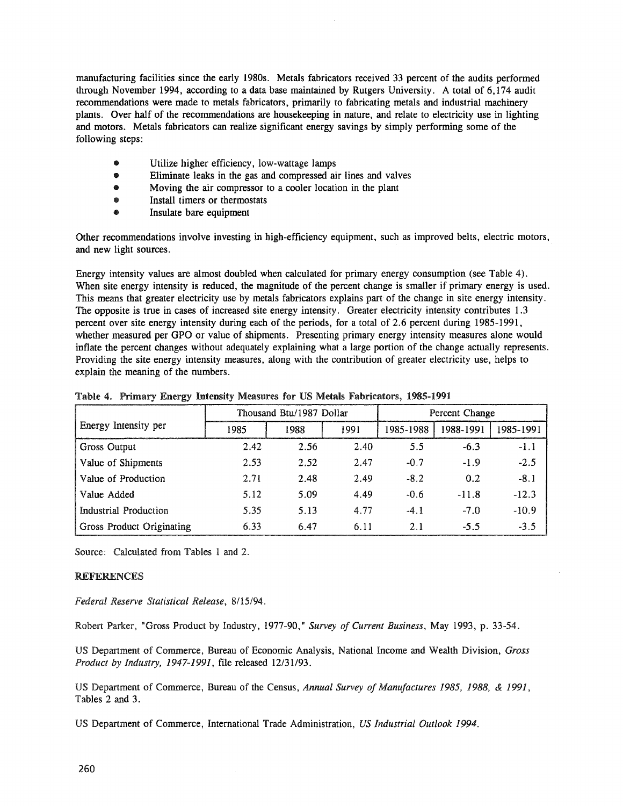manufacturing facilities since the early 1980s. Metals fabricators received 33 percent of the audits performed through November 1994, according to a data base maintained by Rutgers University. A total of 6,174 audit recommendations were made to metals fabricators, primarily to fabricating metals and industrial machinery plants. Over half of the recommendations are housekeeping in nature, and relate to electricity use in lighting and motors. Metals fabricators can realize significant energy savings by simply performing some of the following steps:

- Utilize higher efficiency, low-wattage lamps
- Eliminate leaks in the gas and compressed air lines and valves
- Moving the air compressor to a cooler location in the plant
- Install timers or thermostats
- Insulate bare equipment

Other recommendations involve investing in high-efficiency equipment, such as improved belts, electric motors, and new light sources.

Energy intensity values are almost doubled when calculated for primary energy consumption (see Table 4). When site energy intensity is reduced, the magnitude of the percent change is smaller if primary energy is used. This means that greater electricity use by metals fabricators explains part of the change in site energy intensity. The opposite is true in cases of increased site energy intensity. Greater electricity intensity contributes 1.3 percent over site energy intensity during each of the periods, for a total of 2.6 percent during 1985-1991, whether measured per GPO or value of shipments. Presenting primary energy intensity measures alone would inflate the percent changes without adequately explaining what a large portion of the change actually represents. Providing the site energy intensity measures, along with the contribution of greater electricity use, helps to explain the meaning of the numbers.

|                                  |      | Thousand Btu/1987 Dollar |      | Percent Change |           |           |  |
|----------------------------------|------|--------------------------|------|----------------|-----------|-----------|--|
| Energy Intensity per             | 1985 | 1988                     | 1991 | 1985-1988      | 1988-1991 | 1985-1991 |  |
| Gross Output                     | 2.42 | 2.56                     | 2.40 | 5.5            | $-6.3$    | $-1.1$    |  |
| Value of Shipments               | 2.53 | 2.52                     | 2.47 | $-0.7$         | $-1.9$    | $-2.5$    |  |
| Value of Production              | 2.71 | 2.48                     | 2.49 | $-8.2$         | 0.2       | $-8.1$    |  |
| Value Added                      | 5.12 | 5.09                     | 4.49 | $-0.6$         | $-11.8$   | $-12.3$   |  |
| Industrial Production            | 5.35 | 5.13                     | 4.77 | $-4.1$         | $-7.0$    | $-10.9$   |  |
| <b>Gross Product Originating</b> | 6.33 | 6.47                     | 6.11 | 2.1            | $-5.5$    | $-3.5$    |  |

Table 4. Primary Energy Intensity Measures for US Metals Fabricators, 1985-1991

Source: Calculated from Tables 1 and 2.

# REFERENCES

*Federal Reserve Statistical Release, 8/15/94.*

Robert Parker, "Gross Product by Industry, 1977-90," *Survey of Current Business,* May 1993, p. 33-54.

US Department of Commerce, Bureau of Economic Analysis, National Income and Wealth Division, *Gross Product by Industry,* 1947-1991, file released 12/31/93.

US Department of Commerce, Bureau of the Census, *Annual Survey of Manufactures* 1985, 1988, & 1991, Tables 2 and 3.

US Department of Commerce, International Trade Administration, *US Industrial Outlook 1994.*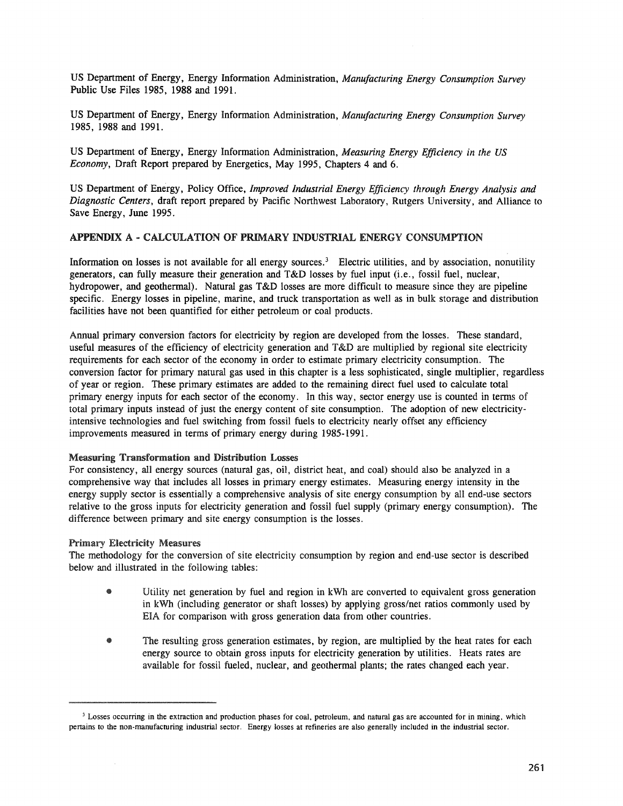US Department of Energy, Energy Information Administration, *Manufacturing Energy Consumption Survey* Public Use Files 1985, 1988 and 1991.

US Department of Energy, Energy Information Administration, *Manufacturing Energy Consumption Survey* 1985, 1988 and 1991.

US Department of Energy, Energy Information Administration, *Measuring Energy Efficiency in the US Economy,* Draft Report prepared by Energetics, May 1995, Chapters 4 and 6.

US Department of Energy, Policy Office, *Improved Industrial Energy Efficiency through Energy Analysis and Diagnostic Centers,* draft report prepared by Pacific Northwest Laboratory, Rutgers University, and Alliance to Save Energy, June 1995.

## APPENDIX A - CALCULATION OF PRIMARY INDUSTRIAL ENERGY CONSUMPTION

Information on losses is not available for all energy sources.<sup>3</sup> Electric utilities, and by association, nonutility generators, can fully measure their generation and T&D losses by fuel input (i.e., fossil fuel, nuclear, hydropower, and geothermal). Natural gas T&D losses are more difficult to measure since they are pipeline specific. Energy losses in pipeline, marine, and truck transportation as well as in bulk storage and distribution facilities have not been quantified for either petroleum or coal products.

Annual primary conversion factors for electricity by region are developed from the losses. These standard, useful measures of the efficiency of electricity generation and T&D are multiplied by regional site electricity requirements for each sector of the economy in order to estimate primary electricity consumption. The conversion factor for primary natural gas used in this chapter is a less sophisticated, single multiplier, regardless of year or region. These primary estimates are added to the remaining direct fuel used to calculate total primary energy inputs for each sector of the economy. In this way, sector energy use is counted in terms of total primary inputs instead of just the energy content of site consumption. The adoption of new electricityintensive technologies and fuel switching from fossil fuels to electricity nearly offset any efficiency improvements measured in terms of primary energy during 1985-1991.

### Measuring Transformation and Distribution Losses

For consistency, all energy sources (natural gas, oil, district heat, and coal) should also be analyzed in a comprehensive way that includes all losses in primary energy estimates. Measuring energy intensity in the energy supply sector is essentially a comprehensive analysis of site energy consumption by all end-use sectors relative to the gross inputs for electricity generation and fossil fuel supply (primary energy consumption). The difference between primary and site energy consumption is the losses.

# Primary Electricity Measures

The methodology for the conversion of site electricity consumption by region and end-use sector is described below and illustrated in the following tables:

- Utility net generation by fuel and region in kWh are converted to equivalent gross generation in kWh (including generator or shaft losses) by applying gross/net ratios commonly used by EIA for comparison with gross generation data from other countries.
- The resulting gross generation estimates, by region, are multiplied by the heat rates for each energy source to obtain gross inputs for electricity generation by utilities. Heats rates are available for fossil fueled, nuclear, and geothermal plants; the rates changed each year.

<sup>&</sup>lt;sup>3</sup> Losses occurring in the extraction and production phases for coal, petroleum, and natural gas are accounted for in mining, which pertains to the non-manufacturing industrial sector. Energy losses at refineries are also generally included in the industrial sector.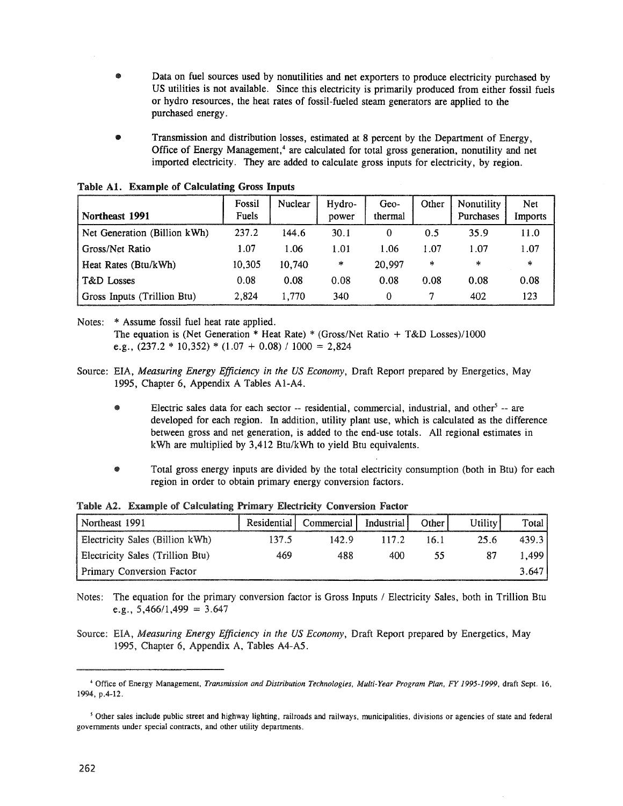- ◉ Data on fuel sources used by nonutilities and net exporters to produce electricity purchased by US utilities is not available. Since this electricity is primarily produced from either fossil fuels or hydro resources, the heat rates of fossil-fueled steam generators are applied to the purchased energy.
- Transmission and distribution losses, estimated at 8 percent by the Department of Energy, Office of Energy Management, <sup>4</sup> are calculated for total gross generation, nonutility and net imported electricity. They are added to calculate gross inputs for electricity, by region.

| Northeast 1991               | Fossil<br>Fuels | <b>Nuclear</b> | Hydro-<br>power | Geo-<br>thermal | Other | Nonutility<br>Purchases | Net<br>Imports |
|------------------------------|-----------------|----------------|-----------------|-----------------|-------|-------------------------|----------------|
| Net Generation (Billion kWh) | 237.2           | 144.6          | 30.1            | 0               | 0.5   | 35.9                    | 11.0           |
| Gross/Net Ratio              | 1.07            | 1.06           | 1.01            | 1.06            | 1.07  | 1.07                    | 1.07           |
| Heat Rates (Btu/kWh)         | 10,305          | 10.740         | 木               | 20,997          | *     | *                       | *              |
| T&D Losses                   | 0.08            | 0.08           | 0.08            | 0.08            | 0.08  | 0.08                    | 0.08           |
| Gross Inputs (Trillion Btu)  | 2.824           | 1.770          | 340             | 0               |       | 402                     | 123            |

Table A1. Example of Calculating Gross Inputs

Notes: \* Assume fossil fuel heat rate applied. The equation is (Net Generation  $*$  Heat Rate)  $*$  (Gross/Net Ratio + T&D Losses)/1000 e.g.,  $(237.2 * 10,352) * (1.07 + 0.08) / 1000 = 2,824$ 

- Source: EIA, *Measuring Energy Efficiency in the US Economy,* Draft Report prepared by Energetics, May 1995, Chapter 6, Appendix A Tables AI-A4.
	- $\bullet$  Electric sales data for each sector -- residential, commercial, industrial, and other  $\overline{a}$  -- are developed for each region. In addition, utility plant use, which is calculated as the difference between gross and net generation, is added to the end-use totals. All regional estimates in kWh are multiplied by 3,412 Btu/kWh to yield Btu equivalents.
	- Total gross energy inputs are divided by the total electricity consumption (both in Btu) for each region in order to obtain primary energy conversion factors.

| Northeast 1991                   | Residential | Commercial | Industrial | Other | Utility | Total  |
|----------------------------------|-------------|------------|------------|-------|---------|--------|
| Electricity Sales (Billion kWh)  | 137.5       | 142.9      | 117.2      | 16.1  | 25.6    | 439.3  |
| Electricity Sales (Trillion Btu) | 469         | 488        | 400        | 55    | 87      | 1,499' |
| Primary Conversion Factor        |             |            |            |       |         | 3.647  |

Table A2. Example of Calculating Primary Electricity Conversion Factor

Notes: The equation for the primary conversion factor is Gross Inputs / Electricity Sales, both in Trillion Btu e.g.,  $5,466/1,499 = 3.647$ 

Source: *Measuring Energy Efficiency in the US Economy,* Draft Report prepared by Energetics, May 1995, Chapter 6, Appendix A, Tables A4-A5.

<sup>&</sup>lt;\$ Office of Energy Management, *Transmission and Distribution Technologies, Multi-Year Program Plan, FY* 1995-1999, draft Sept. 16, 1994, p.4-12.

<sup>&</sup>lt;sup>5</sup> Other sales include public street and highway lighting, railroads and railways, municipalities, divisions or agencies of state and federal governments under special contracts, and other utility departments.